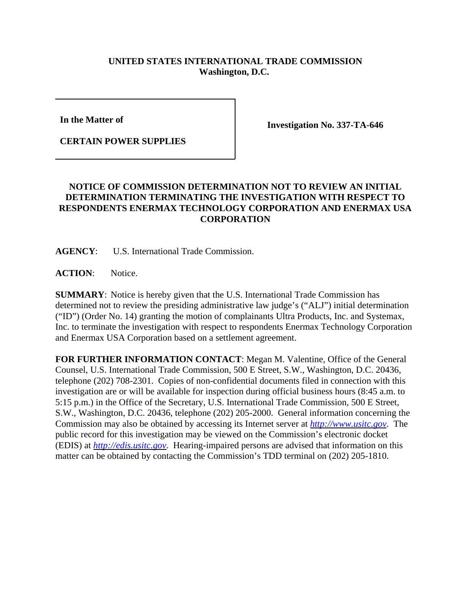## **UNITED STATES INTERNATIONAL TRADE COMMISSION Washington, D.C.**

**In the Matter of** 

**CERTAIN POWER SUPPLIES**

**Investigation No. 337-TA-646**

## **NOTICE OF COMMISSION DETERMINATION NOT TO REVIEW AN INITIAL DETERMINATION TERMINATING THE INVESTIGATION WITH RESPECT TO RESPONDENTS ENERMAX TECHNOLOGY CORPORATION AND ENERMAX USA CORPORATION**

**AGENCY**: U.S. International Trade Commission.

ACTION: Notice.

**SUMMARY**: Notice is hereby given that the U.S. International Trade Commission has determined not to review the presiding administrative law judge's ("ALJ") initial determination ("ID") (Order No. 14) granting the motion of complainants Ultra Products, Inc. and Systemax, Inc. to terminate the investigation with respect to respondents Enermax Technology Corporation and Enermax USA Corporation based on a settlement agreement.

**FOR FURTHER INFORMATION CONTACT**: Megan M. Valentine, Office of the General Counsel, U.S. International Trade Commission, 500 E Street, S.W., Washington, D.C. 20436, telephone (202) 708-2301. Copies of non-confidential documents filed in connection with this investigation are or will be available for inspection during official business hours (8:45 a.m. to 5:15 p.m.) in the Office of the Secretary, U.S. International Trade Commission, 500 E Street, S.W., Washington, D.C. 20436, telephone (202) 205-2000. General information concerning the Commission may also be obtained by accessing its Internet server at *http://www.usitc.gov*. The public record for this investigation may be viewed on the Commission's electronic docket (EDIS) at *http://edis.usitc.gov*. Hearing-impaired persons are advised that information on this matter can be obtained by contacting the Commission's TDD terminal on (202) 205-1810.